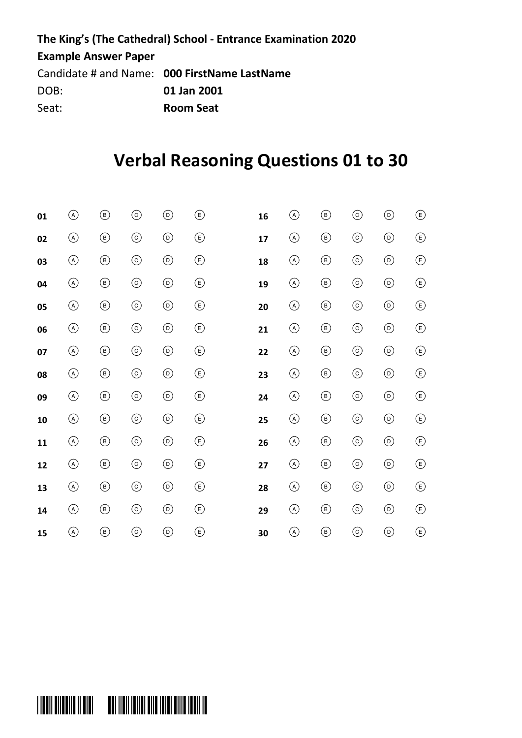#### **The King's (The Cathedral) School - Entrance Examination 2020 Example Answer Paper** Candidate # and Name: **000 FirstName LastName**

DOB: **01 Jan 2001** Seat: **Room Seat**

## **Verbal Reasoning Questions 01 to 30**

| 01 | $\circledcirc$ | $^\circledR$   | $_{\copyright}$ | $_{\textcircled{\scriptsize{1}}}$ | $\circled{\scriptstyle\rm E}$      | 16 | $\circledast$  | $^\circledR$  | $_{\odot}$      | $_{\textcircled{\scriptsize{1}}}$ | ◉                                    |
|----|----------------|----------------|-----------------|-----------------------------------|------------------------------------|----|----------------|---------------|-----------------|-----------------------------------|--------------------------------------|
| 02 | $\circledcirc$ | $^\circledR$   | $\odot$         | $_{\textcircled{\scriptsize{1}}}$ | $\circled{\scriptstyle\rm E}$      | 17 | $\circledcirc$ | $^\circledR$  | $_{\odot}$      | $_{\textcircled{\scriptsize{1}}}$ | $\circled{\scriptstyle \varepsilon}$ |
| 03 | $\circledcirc$ | $^{\circledR}$ | $_{\odot}$      | $^\copyright$                     | $\circlede$                        | 18 | $\circledcirc$ | $^\copyright$ | $_{\odot}$      | $^\copyright$                     | $^{\circledR}$                       |
| 04 | $\circledcirc$ | $^{\circledR}$ | $_{\odot}$      | $_{\textcircled{\scriptsize{1}}}$ | $\circlede$                        | 19 | $^\copyright$  | $^\copyright$ | $_{\odot}$      | $^\copyright$                     | $^{\circledR}$                       |
| 05 | $\circledcirc$ | $^{\circledR}$ | $_{\odot}$      | $^\copyright$                     | $\circlede$                        | 20 | $^\copyright$  | $^\copyright$ | $_{\odot}$      | $_{\textcircled{\scriptsize{1}}}$ | $\textcircled{\scriptsize{E}}$       |
| 06 | $\circledcirc$ | $\circledcirc$ | $\odot$         | $^{\copyright}$                   | $\bigcirc$                         | 21 | $\circledcirc$ | $^\circledR$  | $_{\copyright}$ | $^\copyright$                     | $^{\circledR}$                       |
| 07 | $\circledcirc$ | $^{\circledR}$ | $_{\odot}$      | $_{\textcircled{\scriptsize{1}}}$ | $\circlede$                        | 22 | $\circledcirc$ | $^\copyright$ | $_{\odot}$      | $_{\textcircled{\scriptsize{1}}}$ | $^{\circledR}$                       |
| 08 | $\circledcirc$ | $\circledcirc$ | $\odot$         | $_{\textcircled{\scriptsize{1}}}$ | $\circlede$                        | 23 | $\circledcirc$ | $^\circledR$  | $_{\odot}$      | $_{\textcircled{\scriptsize{1}}}$ | $^{\circledR}$                       |
| 09 | $\circledcirc$ | $^{\circledR}$ | $_{\odot}$      | $_{\textcircled{\scriptsize{1}}}$ | $\circlede$                        | 24 | $\circledcirc$ | $^\circledR$  | $_{\odot}$      | $_{\textcircled{\scriptsize{1}}}$ | $^{\circledR}$                       |
| 10 | $\circledcirc$ | $^{\circledR}$ | $_{\odot}$      | $^{\copyright}$                   | $\circlede$                        | 25 | $\circledcirc$ | $^\copyright$ | $_{\odot}$      | $_{\textcircled{\scriptsize{1}}}$ | $^{\circledR}$                       |
| 11 | $\circledcirc$ | $^{\circledR}$ | $\odot$         | $^{\copyright}$                   | $\circlede$                        | 26 | $\circledcirc$ | $^\circledR$  | $_{\odot}$      | $_{\textcircled{\scriptsize{1}}}$ | $\circled{\scriptstyle\rm E}$        |
| 12 | $\circledcirc$ | $^{\circledR}$ | $_{\odot}$      | $\odot$                           | $\circlede$                        | 27 | $\circledcirc$ | $^\circledR$  | $_{\odot}$      | $_{\textcircled{\scriptsize{1}}}$ | $^{\circledR}$                       |
| 13 | $\circledcirc$ | $^\circledR$   | $_{\odot}$      | $_{\textcircled{\scriptsize{1}}}$ | $\circled{\scriptstyle\mathsf{E}}$ | 28 | $\circledcirc$ | $^\circledR$  | $_{\odot}$      | $_{\textcircled{\scriptsize{1}}}$ | ⊕                                    |
| 14 | $\circledcirc$ | $^{\circledR}$ | $_{\odot}$      | $_{\textcircled{\scriptsize{1}}}$ | $\circlede$                        | 29 | $^\copyright$  | $^\copyright$ | $_{\odot}$      | $_{\textcircled{\scriptsize{1}}}$ | $\circlede$                          |
| 15 | $\circledcirc$ | $^\circledR$   | $_{\copyright}$ | $_{\textcircled{\scriptsize{1}}}$ | $^{\circledR}$                     | 30 | $\circledcirc$ | $^\copyright$ | $_{\odot}$      | $_{\textcircled{\scriptsize{b}}}$ | $^{\circledR}$                       |

# .<br>Valdi bilballa || bibl << bbl ||bi| ibi||bi||bi||bi||bi||bi||bi|||b ter en en de la de la de la de la de la de la de la de la de la de la de la de la de la de la de la de la de l<br>.